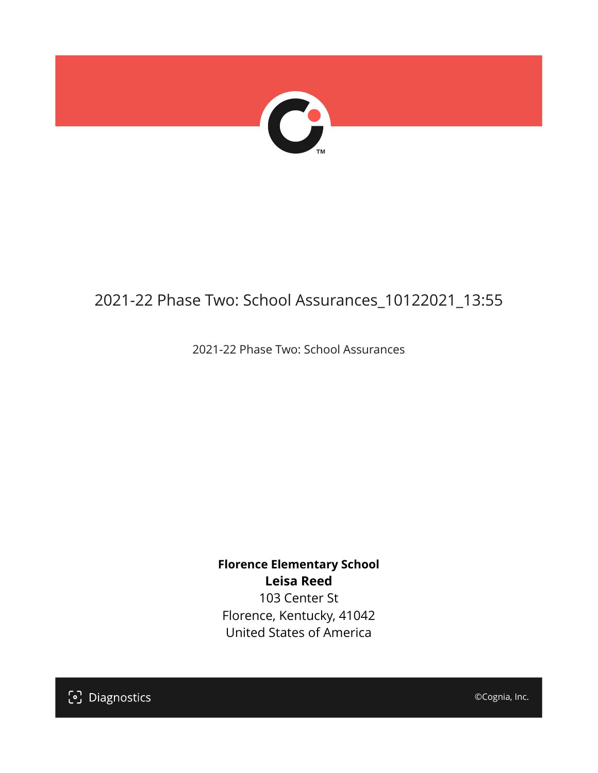

# 2021-22 Phase Two: School Assurances\_10122021\_13:55

2021-22 Phase Two: School Assurances

**Florence Elementary School Leisa Reed** 103 Center St Florence, Kentucky, 41042 United States of America

[၁] Diagnostics

©Cognia, Inc.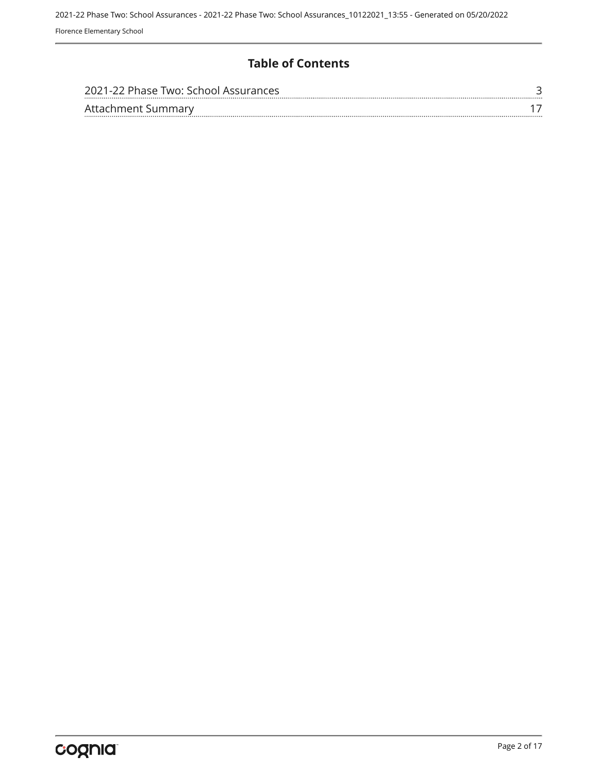### **Table of Contents**

| 2021-22 Phase Two: School Assurances |  |
|--------------------------------------|--|
| Attachment Summary                   |  |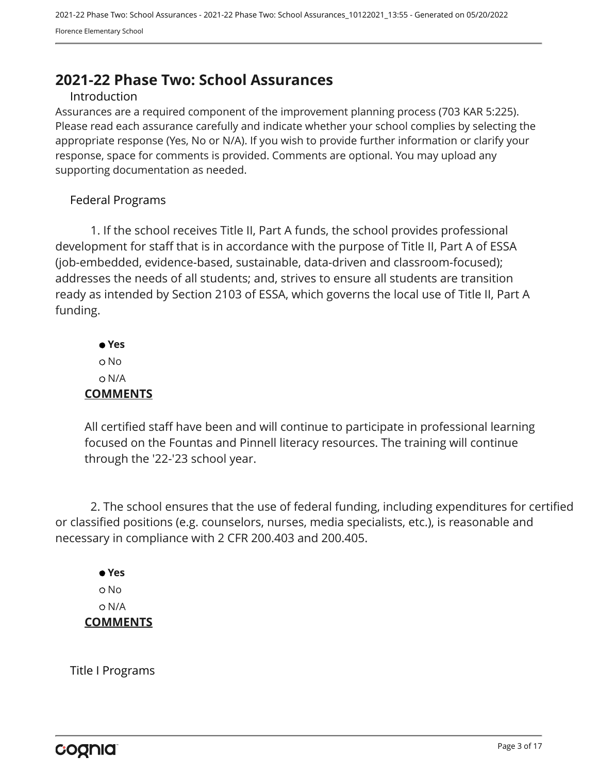# <span id="page-2-0"></span>**2021-22 Phase Two: School Assurances**

#### Introduction

Assurances are a required component of the improvement planning process (703 KAR 5:225). Please read each assurance carefully and indicate whether your school complies by selecting the appropriate response (Yes, No or N/A). If you wish to provide further information or clarify your response, space for comments is provided. Comments are optional. You may upload any supporting documentation as needed.

#### Federal Programs

1. If the school receives Title II, Part A funds, the school provides professional development for staff that is in accordance with the purpose of Title II, Part A of ESSA (job-embedded, evidence-based, sustainable, data-driven and classroom-focused); addresses the needs of all students; and, strives to ensure all students are transition ready as intended by Section 2103 of ESSA, which governs the local use of Title II, Part A funding.

 **Yes** o No N/A **COMMENTS**

All certified staff have been and will continue to participate in professional learning focused on the Fountas and Pinnell literacy resources. The training will continue through the '22-'23 school year.

2. The school ensures that the use of federal funding, including expenditures for certified or classified positions (e.g. counselors, nurses, media specialists, etc.), is reasonable and necessary in compliance with 2 CFR 200.403 and 200.405.

### **Yes** o No N/A **COMMENTS**

Title I Programs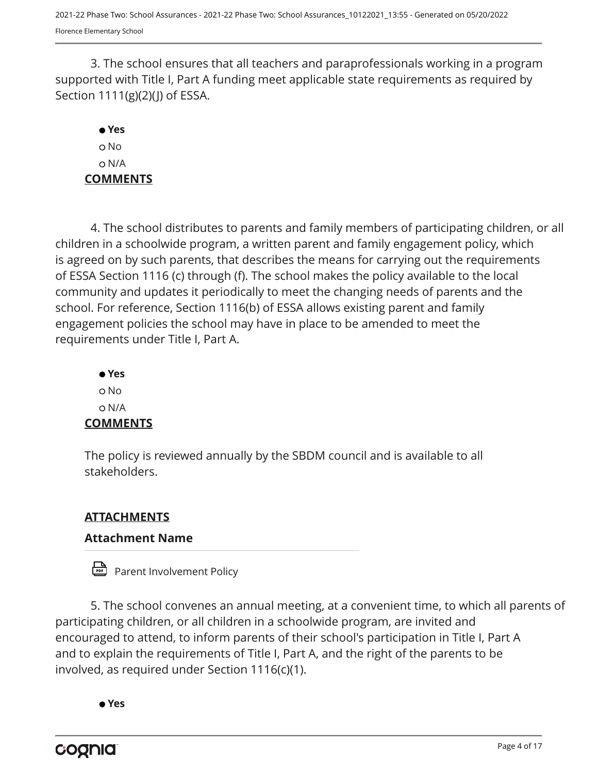3. The school ensures that all teachers and paraprofessionals working in a program supported with Title I, Part A funding meet applicable state requirements as required by Section  $1111(g)(2)(j)$  of ESSA.

# **Yes** No N/A **COMMENTS**

4. The school distributes to parents and family members of participating children, or all children in a schoolwide program, a written parent and family engagement policy, which is agreed on by such parents, that describes the means for carrying out the requirements of ESSA Section 1116 (c) through (f). The school makes the policy available to the local community and updates it periodically to meet the changing needs of parents and the school. For reference, Section 1116(b) of ESSA allows existing parent and family engagement policies the school may have in place to be amended to meet the requirements under Title I, Part A.

 **Yes** o No N/A **COMMENTS**

The policy is reviewed annually by the SBDM council and is available to all stakeholders.

# **ATTACHMENTS**

# **Attachment Name**

Parent Involvement Policy

5. The school convenes an annual meeting, at a convenient time, to which all parents of participating children, or all children in a schoolwide program, are invited and encouraged to attend, to inform parents of their school's participation in Title I, Part A and to explain the requirements of Title I, Part A, and the right of the parents to be involved, as required under Section 1116(c)(1).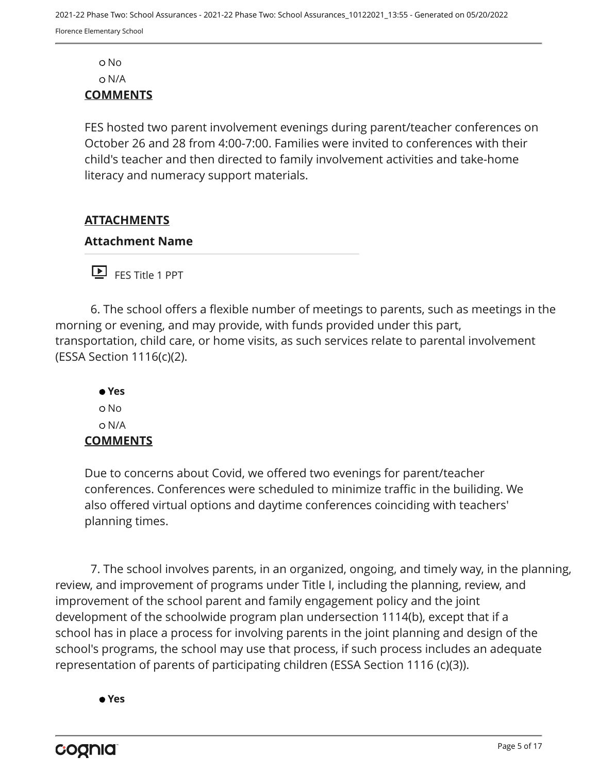No N/A

### **COMMENTS**

FES hosted two parent involvement evenings during parent/teacher conferences on October 26 and 28 from 4:00-7:00. Families were invited to conferences with their child's teacher and then directed to family involvement activities and take-home literacy and numeracy support materials.

### **ATTACHMENTS**

#### **Attachment Name**

FES Title 1 PPT

6. The school offers a flexible number of meetings to parents, such as meetings in the morning or evening, and may provide, with funds provided under this part, transportation, child care, or home visits, as such services relate to parental involvement (ESSA Section 1116(c)(2).

 **Yes** No N/A **COMMENTS**

Due to concerns about Covid, we offered two evenings for parent/teacher conferences. Conferences were scheduled to minimize traffic in the builiding. We also offered virtual options and daytime conferences coinciding with teachers' planning times.

7. The school involves parents, in an organized, ongoing, and timely way, in the planning, review, and improvement of programs under Title I, including the planning, review, and improvement of the school parent and family engagement policy and the joint development of the schoolwide program plan undersection 1114(b), except that if a school has in place a process for involving parents in the joint planning and design of the school's programs, the school may use that process, if such process includes an adequate representation of parents of participating children (ESSA Section 1116 (c)(3)).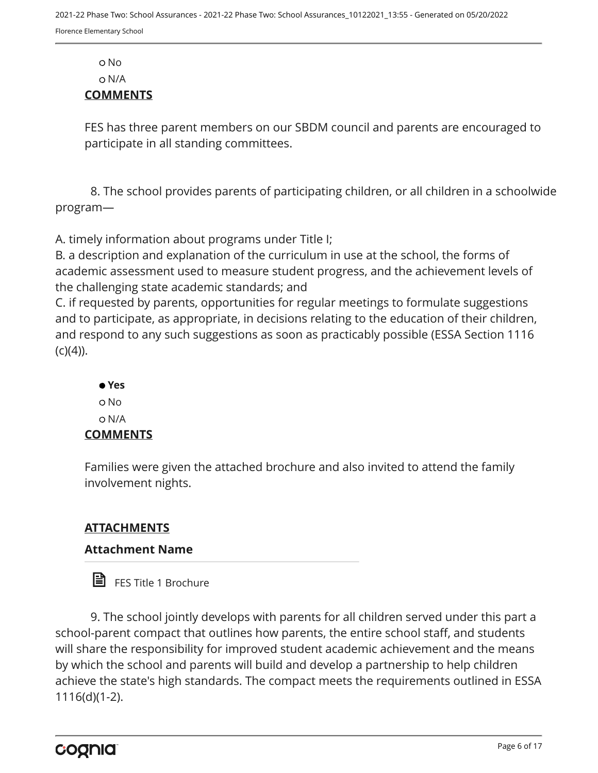No

N/A

#### **COMMENTS**

FES has three parent members on our SBDM council and parents are encouraged to participate in all standing committees.

8. The school provides parents of participating children, or all children in a schoolwide program—

A. timely information about programs under Title I;

B. a description and explanation of the curriculum in use at the school, the forms of academic assessment used to measure student progress, and the achievement levels of the challenging state academic standards; and

C. if requested by parents, opportunities for regular meetings to formulate suggestions and to participate, as appropriate, in decisions relating to the education of their children, and respond to any such suggestions as soon as practicably possible (ESSA Section 1116  $(C)(4)$ ).

 **Yes** o No N/A

### **COMMENTS**

Families were given the attached brochure and also invited to attend the family involvement nights.

### **ATTACHMENTS**

### **Attachment Name**

**目** FES Title 1 Brochure

9. The school jointly develops with parents for all children served under this part a school-parent compact that outlines how parents, the entire school staff, and students will share the responsibility for improved student academic achievement and the means by which the school and parents will build and develop a partnership to help children achieve the state's high standards. The compact meets the requirements outlined in ESSA 1116(d)(1-2).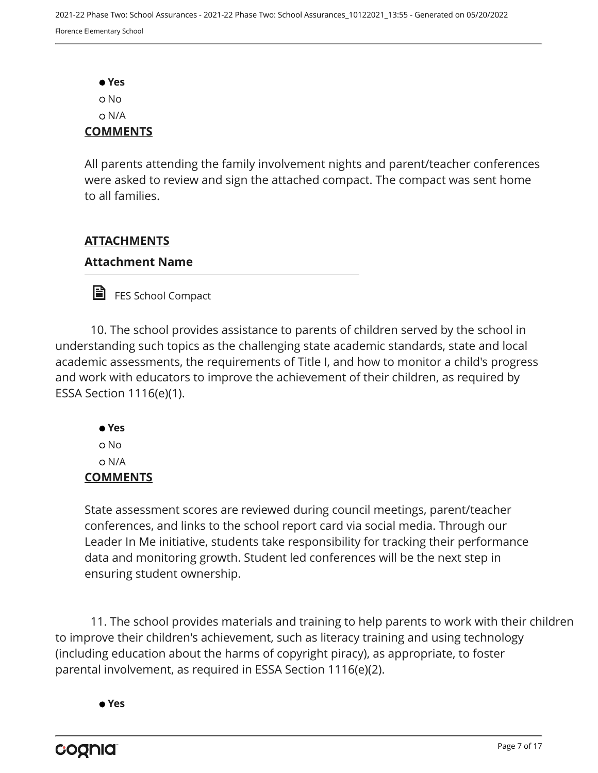**Yes** No N/A **COMMENTS**

All parents attending the family involvement nights and parent/teacher conferences were asked to review and sign the attached compact. The compact was sent home to all families.

### **ATTACHMENTS**

#### **Attachment Name**

FES School Compact

10. The school provides assistance to parents of children served by the school in understanding such topics as the challenging state academic standards, state and local academic assessments, the requirements of Title I, and how to monitor a child's progress and work with educators to improve the achievement of their children, as required by ESSA Section 1116(e)(1).

 **Yes** No N/A **COMMENTS**

State assessment scores are reviewed during council meetings, parent/teacher conferences, and links to the school report card via social media. Through our Leader In Me initiative, students take responsibility for tracking their performance data and monitoring growth. Student led conferences will be the next step in ensuring student ownership.

11. The school provides materials and training to help parents to work with their children to improve their children's achievement, such as literacy training and using technology (including education about the harms of copyright piracy), as appropriate, to foster parental involvement, as required in ESSA Section 1116(e)(2).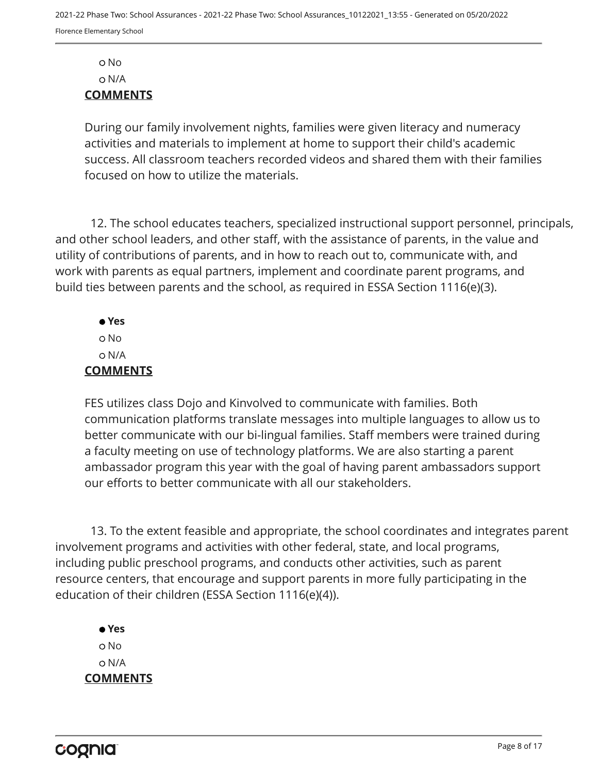No N/A **COMMENTS**

During our family involvement nights, families were given literacy and numeracy activities and materials to implement at home to support their child's academic success. All classroom teachers recorded videos and shared them with their families focused on how to utilize the materials.

12. The school educates teachers, specialized instructional support personnel, principals, and other school leaders, and other staff, with the assistance of parents, in the value and utility of contributions of parents, and in how to reach out to, communicate with, and work with parents as equal partners, implement and coordinate parent programs, and build ties between parents and the school, as required in ESSA Section 1116(e)(3).

 **Yes** o No N/A **COMMENTS**

FES utilizes class Dojo and Kinvolved to communicate with families. Both communication platforms translate messages into multiple languages to allow us to better communicate with our bi-lingual families. Staff members were trained during a faculty meeting on use of technology platforms. We are also starting a parent ambassador program this year with the goal of having parent ambassadors support our efforts to better communicate with all our stakeholders.

13. To the extent feasible and appropriate, the school coordinates and integrates parent involvement programs and activities with other federal, state, and local programs, including public preschool programs, and conducts other activities, such as parent resource centers, that encourage and support parents in more fully participating in the education of their children (ESSA Section 1116(e)(4)).

 **Yes** o No N/A **COMMENTS**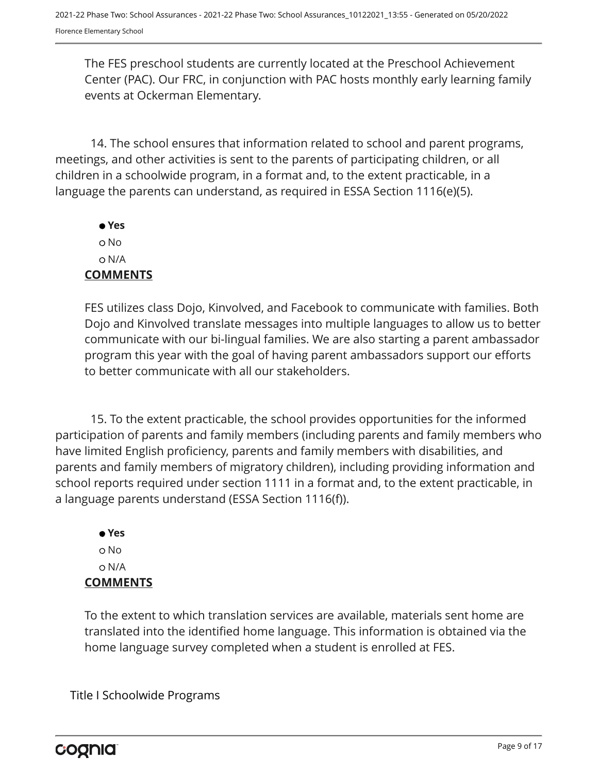The FES preschool students are currently located at the Preschool Achievement Center (PAC). Our FRC, in conjunction with PAC hosts monthly early learning family events at Ockerman Elementary.

14. The school ensures that information related to school and parent programs, meetings, and other activities is sent to the parents of participating children, or all children in a schoolwide program, in a format and, to the extent practicable, in a language the parents can understand, as required in ESSA Section 1116(e)(5).

 **Yes** No N/A **COMMENTS**

FES utilizes class Dojo, Kinvolved, and Facebook to communicate with families. Both Dojo and Kinvolved translate messages into multiple languages to allow us to better communicate with our bi-lingual families. We are also starting a parent ambassador program this year with the goal of having parent ambassadors support our efforts to better communicate with all our stakeholders.

15. To the extent practicable, the school provides opportunities for the informed participation of parents and family members (including parents and family members who have limited English proficiency, parents and family members with disabilities, and parents and family members of migratory children), including providing information and school reports required under section 1111 in a format and, to the extent practicable, in a language parents understand (ESSA Section 1116(f)).

 **Yes** No N/A **COMMENTS**

To the extent to which translation services are available, materials sent home are translated into the identified home language. This information is obtained via the home language survey completed when a student is enrolled at FES.

Title I Schoolwide Programs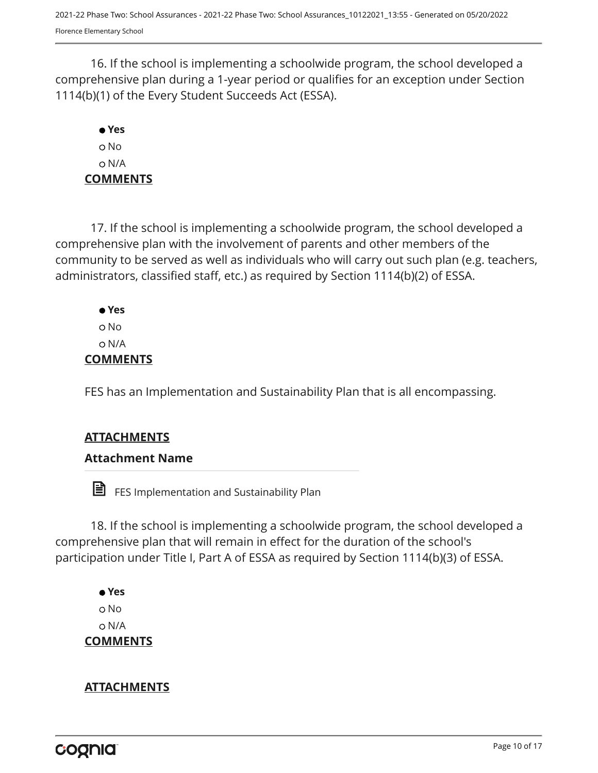16. If the school is implementing a schoolwide program, the school developed a comprehensive plan during a 1-year period or qualifies for an exception under Section 1114(b)(1) of the Every Student Succeeds Act (ESSA).

# **Yes** o No N/A **COMMENTS**

17. If the school is implementing a schoolwide program, the school developed a comprehensive plan with the involvement of parents and other members of the community to be served as well as individuals who will carry out such plan (e.g. teachers, administrators, classified staff, etc.) as required by Section 1114(b)(2) of ESSA.

 **Yes** No N/A **COMMENTS**

FES has an Implementation and Sustainability Plan that is all encompassing.

# **ATTACHMENTS**

# **Attachment Name**

**ED** FES Implementation and Sustainability Plan

18. If the school is implementing a schoolwide program, the school developed a comprehensive plan that will remain in effect for the duration of the school's participation under Title I, Part A of ESSA as required by Section 1114(b)(3) of ESSA.

 **Yes** No N/A **COMMENTS**

# **ATTACHMENTS**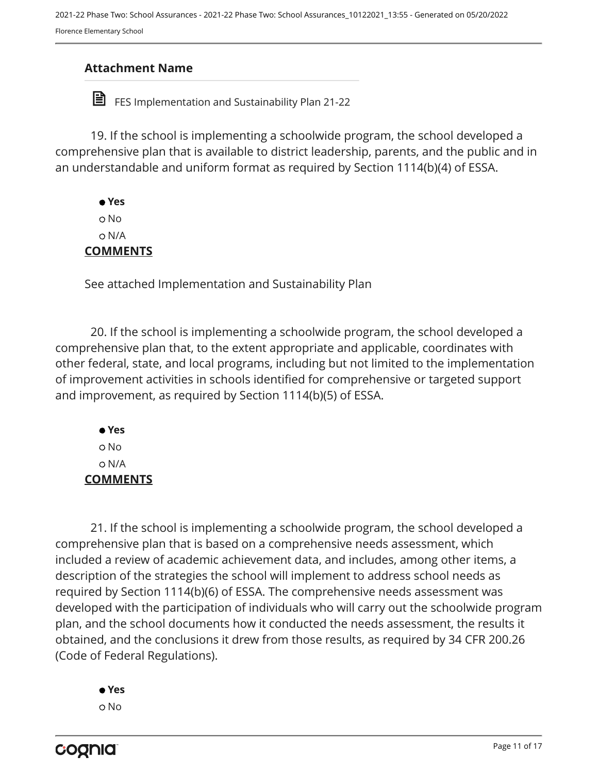2021-22 Phase Two: School Assurances - 2021-22 Phase Two: School Assurances\_10122021\_13:55 - Generated on 05/20/2022 Florence Elementary School

#### **Attachment Name**

FES Implementation and Sustainability Plan 21-22

19. If the school is implementing a schoolwide program, the school developed a comprehensive plan that is available to district leadership, parents, and the public and in an understandable and uniform format as required by Section 1114(b)(4) of ESSA.

 **Yes** No N/A **COMMENTS**

See attached Implementation and Sustainability Plan

20. If the school is implementing a schoolwide program, the school developed a comprehensive plan that, to the extent appropriate and applicable, coordinates with other federal, state, and local programs, including but not limited to the implementation of improvement activities in schools identified for comprehensive or targeted support and improvement, as required by Section 1114(b)(5) of ESSA.

 **Yes** o No N/A **COMMENTS**

21. If the school is implementing a schoolwide program, the school developed a comprehensive plan that is based on a comprehensive needs assessment, which included a review of academic achievement data, and includes, among other items, a description of the strategies the school will implement to address school needs as required by Section 1114(b)(6) of ESSA. The comprehensive needs assessment was developed with the participation of individuals who will carry out the schoolwide program plan, and the school documents how it conducted the needs assessment, the results it obtained, and the conclusions it drew from those results, as required by 34 CFR 200.26 (Code of Federal Regulations).

 **Yes** No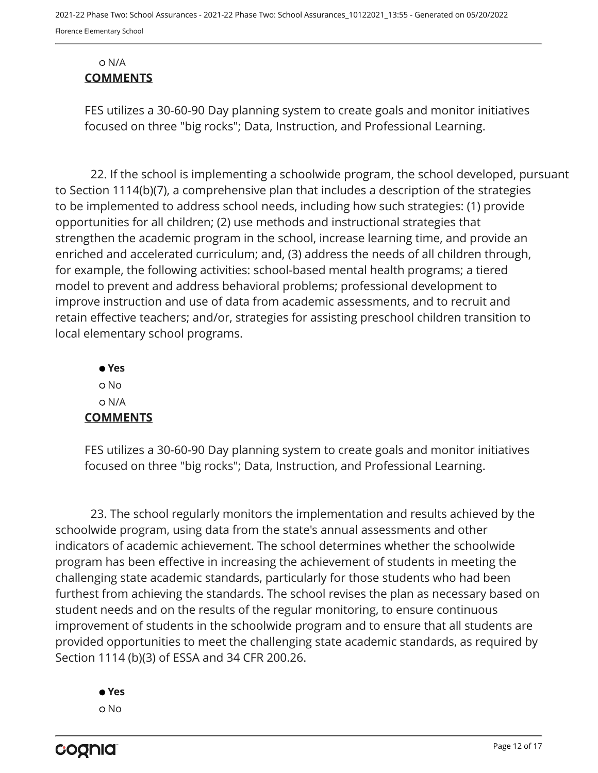#### N/A **COMMENTS**

FES utilizes a 30-60-90 Day planning system to create goals and monitor initiatives focused on three "big rocks"; Data, Instruction, and Professional Learning.

22. If the school is implementing a schoolwide program, the school developed, pursuant to Section 1114(b)(7), a comprehensive plan that includes a description of the strategies to be implemented to address school needs, including how such strategies: (1) provide opportunities for all children; (2) use methods and instructional strategies that strengthen the academic program in the school, increase learning time, and provide an enriched and accelerated curriculum; and, (3) address the needs of all children through, for example, the following activities: school-based mental health programs; a tiered model to prevent and address behavioral problems; professional development to improve instruction and use of data from academic assessments, and to recruit and retain effective teachers; and/or, strategies for assisting preschool children transition to local elementary school programs.

 **Yes** o No N/A **COMMENTS**

FES utilizes a 30-60-90 Day planning system to create goals and monitor initiatives focused on three "big rocks"; Data, Instruction, and Professional Learning.

23. The school regularly monitors the implementation and results achieved by the schoolwide program, using data from the state's annual assessments and other indicators of academic achievement. The school determines whether the schoolwide program has been effective in increasing the achievement of students in meeting the challenging state academic standards, particularly for those students who had been furthest from achieving the standards. The school revises the plan as necessary based on student needs and on the results of the regular monitoring, to ensure continuous improvement of students in the schoolwide program and to ensure that all students are provided opportunities to meet the challenging state academic standards, as required by Section 1114 (b)(3) of ESSA and 34 CFR 200.26.



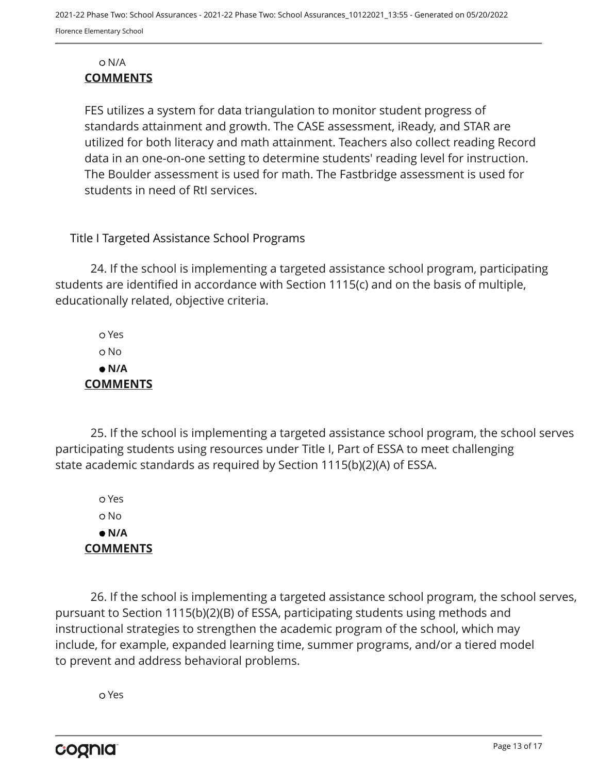#### N/A **COMMENTS**

FES utilizes a system for data triangulation to monitor student progress of standards attainment and growth. The CASE assessment, iReady, and STAR are utilized for both literacy and math attainment. Teachers also collect reading Record data in an one-on-one setting to determine students' reading level for instruction. The Boulder assessment is used for math. The Fastbridge assessment is used for students in need of RtI services.

### Title I Targeted Assistance School Programs

24. If the school is implementing a targeted assistance school program, participating students are identified in accordance with Section 1115(c) and on the basis of multiple, educationally related, objective criteria.

 Yes No  **N/A COMMENTS**

25. If the school is implementing a targeted assistance school program, the school serves participating students using resources under Title I, Part of ESSA to meet challenging state academic standards as required by Section 1115(b)(2)(A) of ESSA.

 Yes o No  **N/A COMMENTS**

26. If the school is implementing a targeted assistance school program, the school serves, pursuant to Section 1115(b)(2)(B) of ESSA, participating students using methods and instructional strategies to strengthen the academic program of the school, which may include, for example, expanded learning time, summer programs, and/or a tiered model to prevent and address behavioral problems.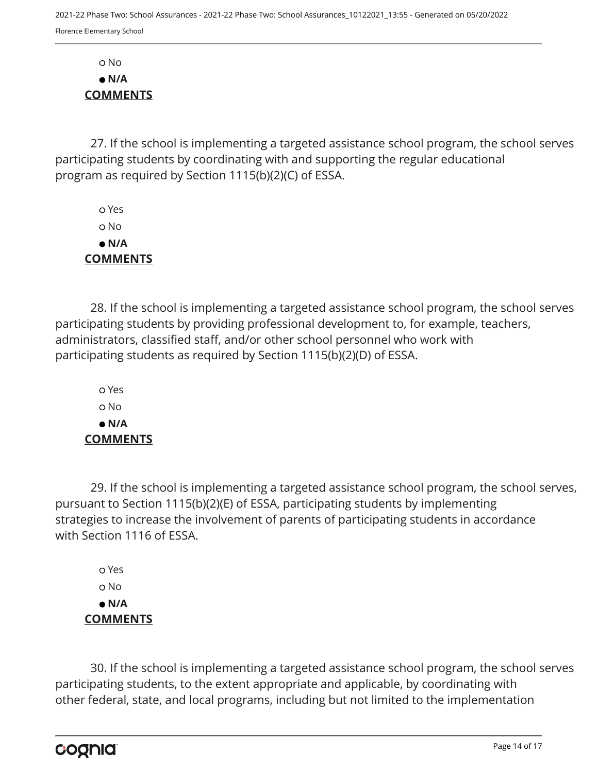No  **N/A COMMENTS**

27. If the school is implementing a targeted assistance school program, the school serves participating students by coordinating with and supporting the regular educational program as required by Section 1115(b)(2)(C) of ESSA.

 Yes o No  **N/A COMMENTS**

28. If the school is implementing a targeted assistance school program, the school serves participating students by providing professional development to, for example, teachers, administrators, classified staff, and/or other school personnel who work with participating students as required by Section 1115(b)(2)(D) of ESSA.

 Yes No  **N/A COMMENTS**

29. If the school is implementing a targeted assistance school program, the school serves, pursuant to Section 1115(b)(2)(E) of ESSA, participating students by implementing strategies to increase the involvement of parents of participating students in accordance with Section 1116 of ESSA.

 Yes No  **N/A COMMENTS**

30. If the school is implementing a targeted assistance school program, the school serves participating students, to the extent appropriate and applicable, by coordinating with other federal, state, and local programs, including but not limited to the implementation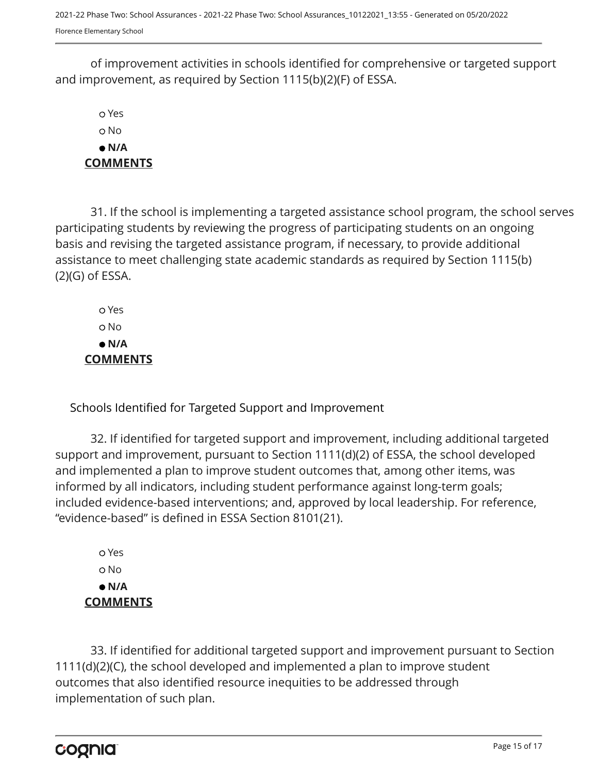2021-22 Phase Two: School Assurances - 2021-22 Phase Two: School Assurances\_10122021\_13:55 - Generated on 05/20/2022 Florence Elementary School

of improvement activities in schools identified for comprehensive or targeted support and improvement, as required by Section 1115(b)(2)(F) of ESSA.

 Yes No  **N/A COMMENTS**

31. If the school is implementing a targeted assistance school program, the school serves participating students by reviewing the progress of participating students on an ongoing basis and revising the targeted assistance program, if necessary, to provide additional assistance to meet challenging state academic standards as required by Section 1115(b) (2)(G) of ESSA.

 Yes No  **N/A COMMENTS**

Schools Identified for Targeted Support and Improvement

32. If identified for targeted support and improvement, including additional targeted support and improvement, pursuant to Section 1111(d)(2) of ESSA, the school developed and implemented a plan to improve student outcomes that, among other items, was informed by all indicators, including student performance against long-term goals; included evidence-based interventions; and, approved by local leadership. For reference, "evidence-based" is defined in ESSA Section 8101(21).

 Yes o No  **N/A COMMENTS**

33. If identified for additional targeted support and improvement pursuant to Section 1111(d)(2)(C), the school developed and implemented a plan to improve student outcomes that also identified resource inequities to be addressed through implementation of such plan.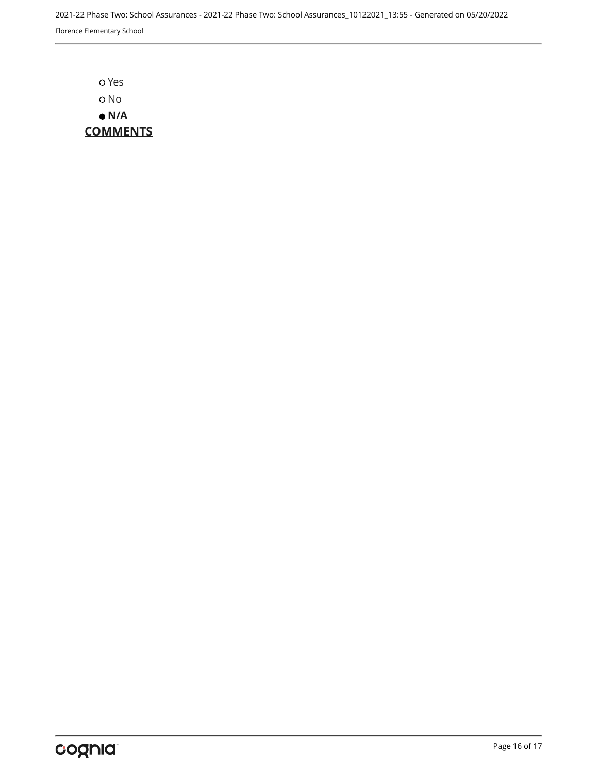2021-22 Phase Two: School Assurances - 2021-22 Phase Two: School Assurances\_10122021\_13:55 - Generated on 05/20/2022 Florence Elementary School

 Yes o No  **N/A COMMENTS**